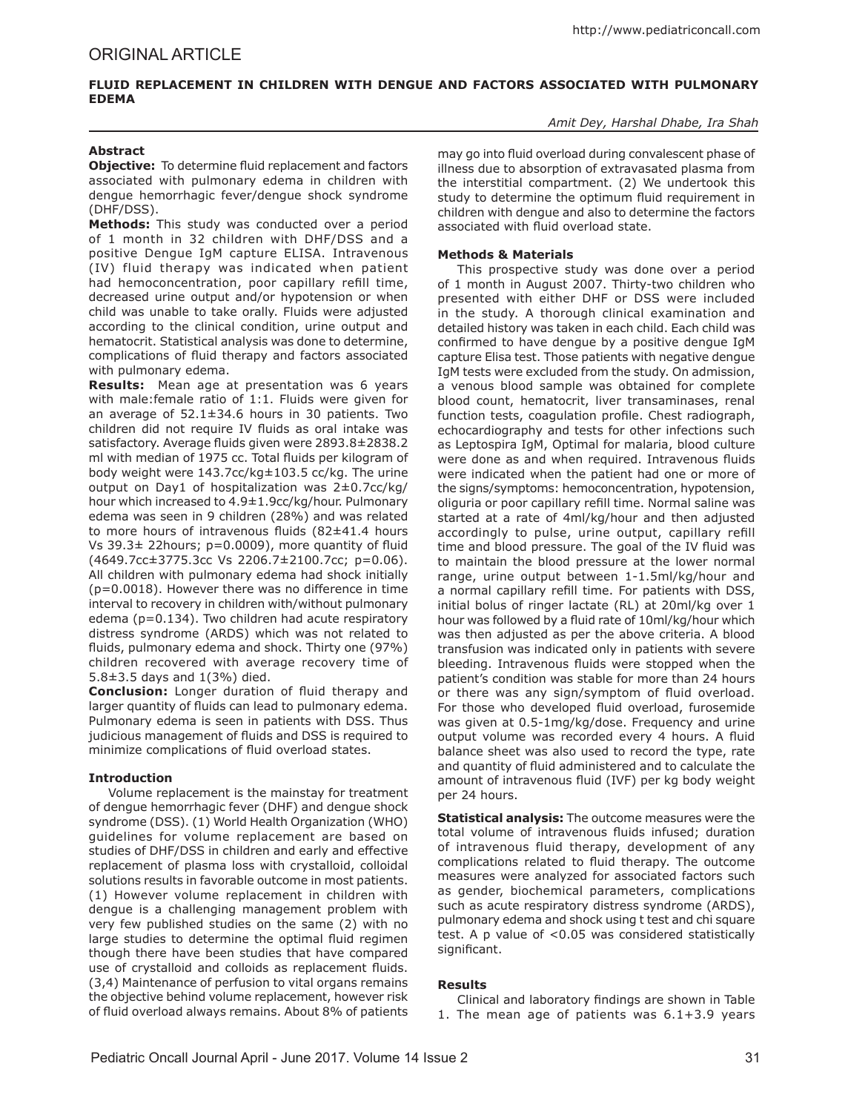## **FLUID REPLACEMENT IN CHILDREN WITH DENGUE AND FACTORS ASSOCIATED WITH PULMONARY EDEMA**

#### *Amit Dey, Harshal Dhabe, Ira Shah*

## **Abstract**

**Objective:** To determine fluid replacement and factors associated with pulmonary edema in children with dengue hemorrhagic fever/dengue shock syndrome (DHF/DSS).

**Methods:** This study was conducted over a period of 1 month in 32 children with DHF/DSS and a positive Dengue IgM capture ELISA. Intravenous (IV) fluid therapy was indicated when patient had hemoconcentration, poor capillary refill time, decreased urine output and/or hypotension or when child was unable to take orally. Fluids were adjusted according to the clinical condition, urine output and hematocrit. Statistical analysis was done to determine, complications of fluid therapy and factors associated with pulmonary edema.

**Results:** Mean age at presentation was 6 years with male:female ratio of 1:1. Fluids were given for an average of 52.1±34.6 hours in 30 patients. Two children did not require IV fluids as oral intake was satisfactory. Average fluids given were 2893.8±2838.2 ml with median of 1975 cc. Total fluids per kilogram of body weight were 143.7cc/kg±103.5 cc/kg. The urine output on Day1 of hospitalization was 2±0.7cc/kg/ hour which increased to 4.9±1.9cc/kg/hour. Pulmonary edema was seen in 9 children (28%) and was related to more hours of intravenous fluids (82±41.4 hours Vs 39.3± 22hours; p=0.0009), more quantity of fluid (4649.7cc±3775.3cc Vs 2206.7±2100.7cc; p=0.06). All children with pulmonary edema had shock initially (p=0.0018). However there was no difference in time interval to recovery in children with/without pulmonary edema (p=0.134). Two children had acute respiratory distress syndrome (ARDS) which was not related to fluids, pulmonary edema and shock. Thirty one (97%) children recovered with average recovery time of 5.8±3.5 days and 1(3%) died.

**Conclusion:** Longer duration of fluid therapy and larger quantity of fluids can lead to pulmonary edema. Pulmonary edema is seen in patients with DSS. Thus judicious management of fluids and DSS is required to minimize complications of fluid overload states.

### **Introduction**

Volume replacement is the mainstay for treatment of dengue hemorrhagic fever (DHF) and dengue shock syndrome (DSS). (1) World Health Organization (WHO) guidelines for volume replacement are based on studies of DHF/DSS in children and early and effective replacement of plasma loss with crystalloid, colloidal solutions results in favorable outcome in most patients. (1) However volume replacement in children with dengue is a challenging management problem with very few published studies on the same (2) with no large studies to determine the optimal fluid regimen though there have been studies that have compared use of crystalloid and colloids as replacement fluids. (3,4) Maintenance of perfusion to vital organs remains the objective behind volume replacement, however risk of fluid overload always remains. About 8% of patients

may go into fluid overload during convalescent phase of illness due to absorption of extravasated plasma from the interstitial compartment. (2) We undertook this study to determine the optimum fluid requirement in children with dengue and also to determine the factors associated with fluid overload state.

## **Methods & Materials**

This prospective study was done over a period of 1 month in August 2007. Thirty-two children who presented with either DHF or DSS were included in the study. A thorough clinical examination and detailed history was taken in each child. Each child was confirmed to have dengue by a positive dengue IgM capture Elisa test. Those patients with negative dengue IgM tests were excluded from the study. On admission, a venous blood sample was obtained for complete blood count, hematocrit, liver transaminases, renal function tests, coagulation profile. Chest radiograph, echocardiography and tests for other infections such as Leptospira IgM, Optimal for malaria, blood culture were done as and when required. Intravenous fluids were indicated when the patient had one or more of the signs/symptoms: hemoconcentration, hypotension, oliguria or poor capillary refill time. Normal saline was started at a rate of 4ml/kg/hour and then adjusted accordingly to pulse, urine output, capillary refill time and blood pressure. The goal of the IV fluid was to maintain the blood pressure at the lower normal range, urine output between 1-1.5ml/kg/hour and a normal capillary refill time. For patients with DSS, initial bolus of ringer lactate (RL) at 20ml/kg over 1 hour was followed by a fluid rate of 10ml/kg/hour which was then adjusted as per the above criteria. A blood transfusion was indicated only in patients with severe bleeding. Intravenous fluids were stopped when the patient's condition was stable for more than 24 hours or there was any sign/symptom of fluid overload. For those who developed fluid overload, furosemide was given at 0.5-1mg/kg/dose. Frequency and urine output volume was recorded every 4 hours. A fluid balance sheet was also used to record the type, rate and quantity of fluid administered and to calculate the amount of intravenous fluid (IVF) per kg body weight per 24 hours.

**Statistical analysis:** The outcome measures were the total volume of intravenous fluids infused; duration of intravenous fluid therapy, development of any complications related to fluid therapy. The outcome measures were analyzed for associated factors such as gender, biochemical parameters, complications such as acute respiratory distress syndrome (ARDS), pulmonary edema and shock using t test and chi square test. A p value of <0.05 was considered statistically significant.

# **Results**

Clinical and laboratory findings are shown in Table 1. The mean age of patients was 6.1+3.9 years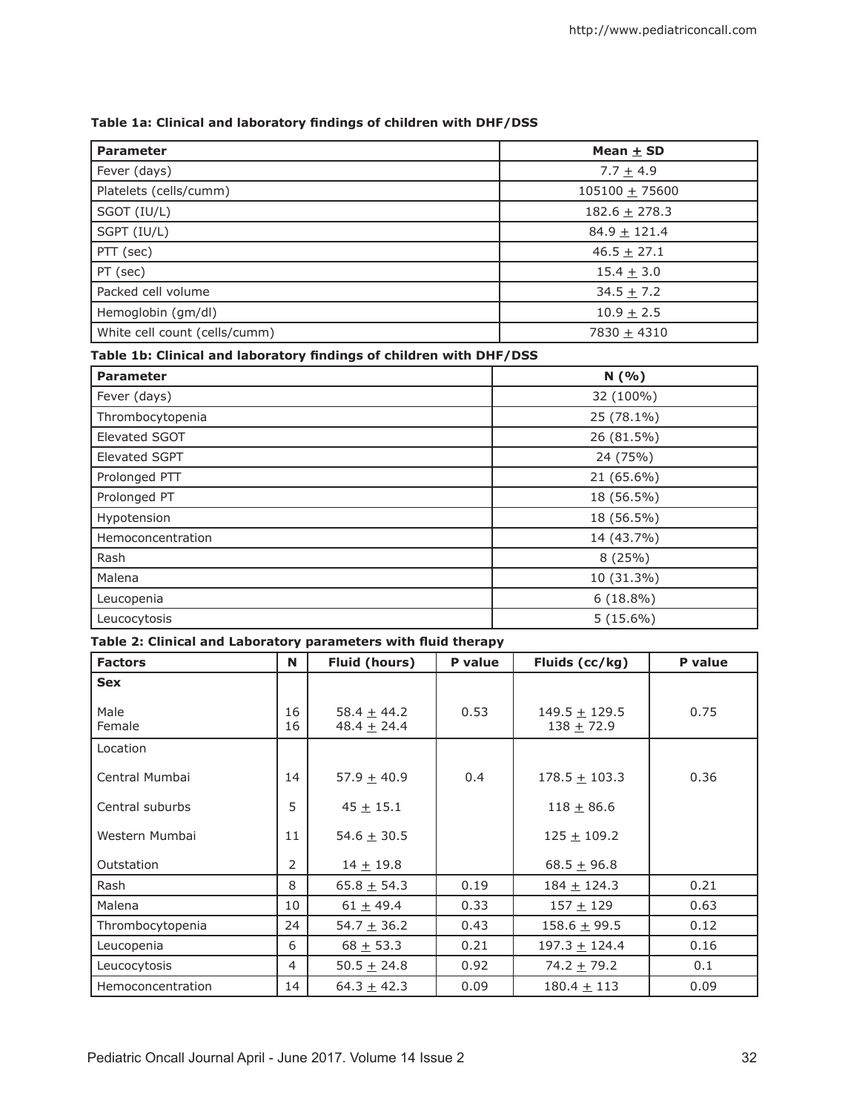# **Table 1a: Clinical and laboratory findings of children with DHF/DSS**

| <b>Parameter</b>              | Mean $\pm$ SD     |  |  |
|-------------------------------|-------------------|--|--|
| Fever (days)                  | $7.7 + 4.9$       |  |  |
| Platelets (cells/cumm)        | $105100 + 75600$  |  |  |
| SGOT (IU/L)                   | 182.6 $\pm$ 278.3 |  |  |
| SGPT (IU/L)                   | $84.9 + 121.4$    |  |  |
| PTT (sec)                     | $46.5 + 27.1$     |  |  |
| PT (sec)                      | $15.4 + 3.0$      |  |  |
| Packed cell volume            | $34.5 \pm 7.2$    |  |  |
| Hemoglobin (gm/dl)            | $10.9 \pm 2.5$    |  |  |
| White cell count (cells/cumm) | $7830 + 4310$     |  |  |

# **Table 1b: Clinical and laboratory findings of children with DHF/DSS**

| <b>Parameter</b>     | N(%)        |
|----------------------|-------------|
| Fever (days)         | 32 (100%)   |
| Thrombocytopenia     | 25 (78.1%)  |
| Elevated SGOT        | 26 (81.5%)  |
| <b>Elevated SGPT</b> | 24 (75%)    |
| Prolonged PTT        | 21 (65.6%)  |
| Prolonged PT         | 18 (56.5%)  |
| Hypotension          | 18 (56.5%)  |
| Hemoconcentration    | 14 (43.7%)  |
| Rash                 | 8(25%)      |
| Malena               | 10 (31.3%)  |
| Leucopenia           | $6(18.8\%)$ |
| Leucocytosis         | $5(15.6\%)$ |

# **Table 2: Clinical and Laboratory parameters with fluid therapy**

| <b>Factors</b>    | N        | <b>Fluid (hours)</b>               | P value | Fluids (cc/kg)                  | P value |
|-------------------|----------|------------------------------------|---------|---------------------------------|---------|
| <b>Sex</b>        |          |                                    |         |                                 |         |
| Male<br>Female    | 16<br>16 | 58.4 $\pm$ 44.2<br>$48.4 \pm 24.4$ | 0.53    | $149.5 + 129.5$<br>$138 + 72.9$ | 0.75    |
| Location          |          |                                    |         |                                 |         |
| Central Mumbai    | 14       | $57.9 + 40.9$                      | 0.4     | $178.5 + 103.3$                 | 0.36    |
| Central suburbs   | 5        | $45 + 15.1$                        |         | $118 + 86.6$                    |         |
| Western Mumbai    | 11       | $54.6 + 30.5$                      |         | $125 + 109.2$                   |         |
| Outstation        | 2        | $14 \pm 19.8$                      |         | $68.5 \pm 96.8$                 |         |
| Rash              | 8        | $65.8 + 54.3$                      | 0.19    | $184 + 124.3$                   | 0.21    |
| Malena            | 10       | $61 + 49.4$                        | 0.33    | $157 + 129$                     | 0.63    |
| Thrombocytopenia  | 24       | 54.7 $\pm$ 36.2                    | 0.43    | $158.6 \pm 99.5$                | 0.12    |
| Leucopenia        | 6        | $68 + 53.3$                        | 0.21    | 197.3 $\pm$ 124.4               | 0.16    |
| Leucocytosis      | 4        | $50.5 + 24.8$                      | 0.92    | 74.2 $\pm$ 79.2                 | 0.1     |
| Hemoconcentration | 14       | $64.3 + 42.3$                      | 0.09    | $180.4 + 113$                   | 0.09    |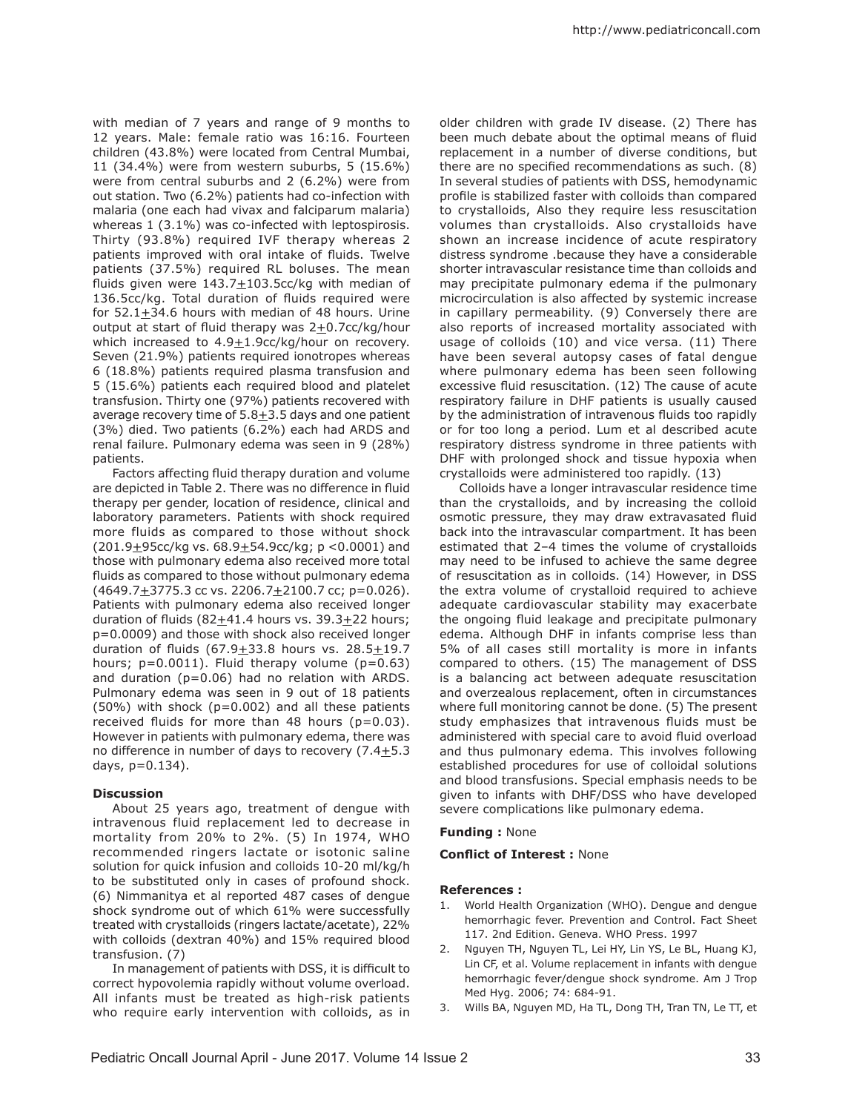with median of 7 years and range of 9 months to 12 years. Male: female ratio was 16:16. Fourteen children (43.8%) were located from Central Mumbai, 11 (34.4%) were from western suburbs, 5 (15.6%) were from central suburbs and 2 (6.2%) were from out station. Two (6.2%) patients had co-infection with malaria (one each had vivax and falciparum malaria) whereas 1 (3.1%) was co-infected with leptospirosis. Thirty (93.8%) required IVF therapy whereas 2 patients improved with oral intake of fluids. Twelve patients (37.5%) required RL boluses. The mean fluids given were  $143.7 \pm 103.5$ cc/kg with median of 136.5cc/kg. Total duration of fluids required were for  $52.1 \pm 34.6$  hours with median of 48 hours. Urine output at start of fluid therapy was  $2\pm0.7$ cc/kg/hour which increased to  $4.9 \pm 1.9$ cc/kg/hour on recovery. Seven (21.9%) patients required ionotropes whereas 6 (18.8%) patients required plasma transfusion and 5 (15.6%) patients each required blood and platelet transfusion. Thirty one (97%) patients recovered with average recovery time of  $5.8 + 3.5$  days and one patient (3%) died. Two patients (6.2%) each had ARDS and renal failure. Pulmonary edema was seen in 9 (28%) patients.

Factors affecting fluid therapy duration and volume are depicted in Table 2. There was no difference in fluid therapy per gender, location of residence, clinical and laboratory parameters. Patients with shock required more fluids as compared to those without shock  $(201.9 + 95cc/kg \text{ vs. } 68.9 + 54.9cc/kg; p < 0.0001)$  and those with pulmonary edema also received more total fluids as compared to those without pulmonary edema  $(4649.7\pm3775.3 \text{ cc vs. } 2206.7\pm2100.7 \text{ cc}; p=0.026).$ Patients with pulmonary edema also received longer duration of fluids (82 $\pm$ 41.4 hours vs. 39.3 $\pm$ 22 hours; p=0.0009) and those with shock also received longer duration of fluids  $(67.9 \pm 33.8$  hours vs.  $28.5 \pm 19.7$ hours;  $p=0.0011$ ). Fluid therapy volume ( $p=0.63$ ) and duration (p=0.06) had no relation with ARDS. Pulmonary edema was seen in 9 out of 18 patients (50%) with shock (p=0.002) and all these patients received fluids for more than 48 hours  $(p=0.03)$ . However in patients with pulmonary edema, there was no difference in number of days to recovery  $(7.4 \pm 5.3)$ days,  $p=0.134$ ).

#### **Discussion**

About 25 years ago, treatment of dengue with intravenous fluid replacement led to decrease in mortality from 20% to 2%. (5) In 1974, WHO recommended ringers lactate or isotonic saline solution for quick infusion and colloids 10-20 ml/kg/h to be substituted only in cases of profound shock. (6) Nimmanitya et al reported 487 cases of dengue shock syndrome out of which 61% were successfully treated with crystalloids (ringers lactate/acetate), 22% with colloids (dextran 40%) and 15% required blood transfusion. (7)

In management of patients with DSS, it is difficult to correct hypovolemia rapidly without volume overload. All infants must be treated as high-risk patients who require early intervention with colloids, as in older children with grade IV disease. (2) There has been much debate about the optimal means of fluid replacement in a number of diverse conditions, but there are no specified recommendations as such. (8) In several studies of patients with DSS, hemodynamic profile is stabilized faster with colloids than compared to crystalloids, Also they require less resuscitation volumes than crystalloids. Also crystalloids have shown an increase incidence of acute respiratory distress syndrome .because they have a considerable shorter intravascular resistance time than colloids and may precipitate pulmonary edema if the pulmonary microcirculation is also affected by systemic increase in capillary permeability. (9) Conversely there are also reports of increased mortality associated with usage of colloids (10) and vice versa. (11) There have been several autopsy cases of fatal dengue where pulmonary edema has been seen following excessive fluid resuscitation. (12) The cause of acute respiratory failure in DHF patients is usually caused by the administration of intravenous fluids too rapidly or for too long a period. Lum et al described acute respiratory distress syndrome in three patients with DHF with prolonged shock and tissue hypoxia when crystalloids were administered too rapidly. (13)

Colloids have a longer intravascular residence time than the crystalloids, and by increasing the colloid osmotic pressure, they may draw extravasated fluid back into the intravascular compartment. It has been estimated that 2–4 times the volume of crystalloids may need to be infused to achieve the same degree of resuscitation as in colloids. (14) However, in DSS the extra volume of crystalloid required to achieve adequate cardiovascular stability may exacerbate the ongoing fluid leakage and precipitate pulmonary edema. Although DHF in infants comprise less than 5% of all cases still mortality is more in infants compared to others. (15) The management of DSS is a balancing act between adequate resuscitation and overzealous replacement, often in circumstances where full monitoring cannot be done. (5) The present study emphasizes that intravenous fluids must be administered with special care to avoid fluid overload and thus pulmonary edema. This involves following established procedures for use of colloidal solutions and blood transfusions. Special emphasis needs to be given to infants with DHF/DSS who have developed severe complications like pulmonary edema.

### **Funding :** None

#### **Conflict of Interest :** None

#### **References :**

- 1. World Health Organization (WHO). Dengue and dengue hemorrhagic fever. Prevention and Control. Fact Sheet 117. 2nd Edition. Geneva. WHO Press. 1997
- 2. Nguyen TH, Nguyen TL, Lei HY, Lin YS, Le BL, Huang KJ, Lin CF, et al. Volume replacement in infants with dengue hemorrhagic fever/dengue shock syndrome. Am J Trop Med Hyg. 2006; 74: 684-91.
- 3. Wills BA, Nguyen MD, Ha TL, Dong TH, Tran TN, Le TT, et